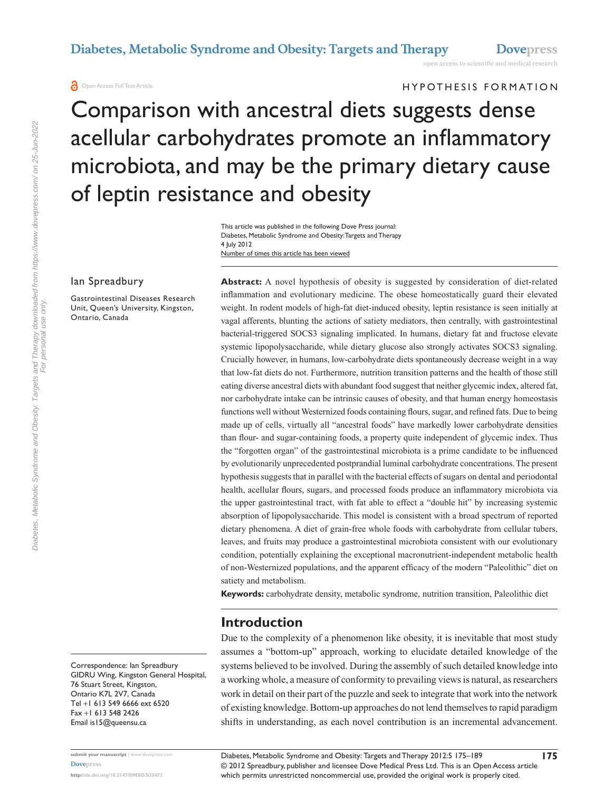**a** Open Access Full Text Article

HYPOTHESIS FORMATION

# Comparison with ancestral diets suggests dense acellular carbohydrates promote an inflammatory microbiota, and may be the primary dietary cause of leptin resistance and obesity

Number of times this article has been viewed This article was published in the following Dove Press journal: Diabetes, Metabolic Syndrome and Obesity: Targets and Therapy 4 July 2012

#### Ian Spreadbury

Gastrointestinal Diseases Research Unit, Queen's University, Kingston, Ontario, Canada

**Abstract:** A novel hypothesis of obesity is suggested by consideration of diet-related inflammation and evolutionary medicine. The obese homeostatically guard their elevated weight. In rodent models of high-fat diet-induced obesity, leptin resistance is seen initially at vagal afferents, blunting the actions of satiety mediators, then centrally, with gastrointestinal bacterial-triggered SOCS3 signaling implicated. In humans, dietary fat and fructose elevate systemic lipopolysaccharide, while dietary glucose also strongly activates SOCS3 signaling. Crucially however, in humans, low-carbohydrate diets spontaneously decrease weight in a way that low-fat diets do not. Furthermore, nutrition transition patterns and the health of those still eating diverse ancestral diets with abundant food suggest that neither glycemic index, altered fat, nor carbohydrate intake can be intrinsic causes of obesity, and that human energy homeostasis functions well without Westernized foods containing flours, sugar, and refined fats. Due to being made up of cells, virtually all "ancestral foods" have markedly lower carbohydrate densities than flour- and sugar-containing foods, a property quite independent of glycemic index. Thus the "forgotten organ" of the gastrointestinal microbiota is a prime candidate to be influenced by evolutionarily unprecedented postprandial luminal carbohydrate concentrations. The present hypothesis suggests that in parallel with the bacterial effects of sugars on dental and periodontal health, acellular flours, sugars, and processed foods produce an inflammatory microbiota via the upper gastrointestinal tract, with fat able to effect a "double hit" by increasing systemic absorption of lipopolysaccharide. This model is consistent with a broad spectrum of reported dietary phenomena. A diet of grain-free whole foods with carbohydrate from cellular tubers, leaves, and fruits may produce a gastrointestinal microbiota consistent with our evolutionary condition, potentially explaining the exceptional macronutrient-independent metabolic health of non-Westernized populations, and the apparent efficacy of the modern "Paleolithic" diet on satiety and metabolism.

**Keywords:** carbohydrate density, metabolic syndrome, nutrition transition, Paleolithic diet

#### **Introduction**

Due to the complexity of a phenomenon like obesity, it is inevitable that most study assumes a "bottom-up" approach, working to elucidate detailed knowledge of the systems believed to be involved. During the assembly of such detailed knowledge into a working whole, a measure of conformity to prevailing views is natural, as researchers work in detail on their part of the puzzle and seek to integrate that work into the network of existing knowledge. Bottom-up approaches do not lend themselves to rapid paradigm shifts in understanding, as each novel contribution is an incremental advancement.

Correspondence: Ian Spreadbury GIDRU Wing, Kingston General Hospital, 76 Stuart Street, Kingston, Ontario K7L 2V7, Canada Tel +1 613 549 6666 ext 6520 Fax +1 613 548 2426 Email [is15@queensu.ca](mailto:is15@queensu.ca)

**submit your manuscript** | <www.dovepress.com> **[Dovepress](www.dovepress.com) <http://dx.doi.org/10.2147/DMSO.S33473>**

© 2012 Spreadbury, publisher and licensee Dove Medical Press Ltd. This is an Open Access article which permits unrestricted noncommercial use, provided the original work is properly cited. Diabetes, Metabolic Syndrome and Obesity: Targets and Therapy 2012:5 175–189 **175**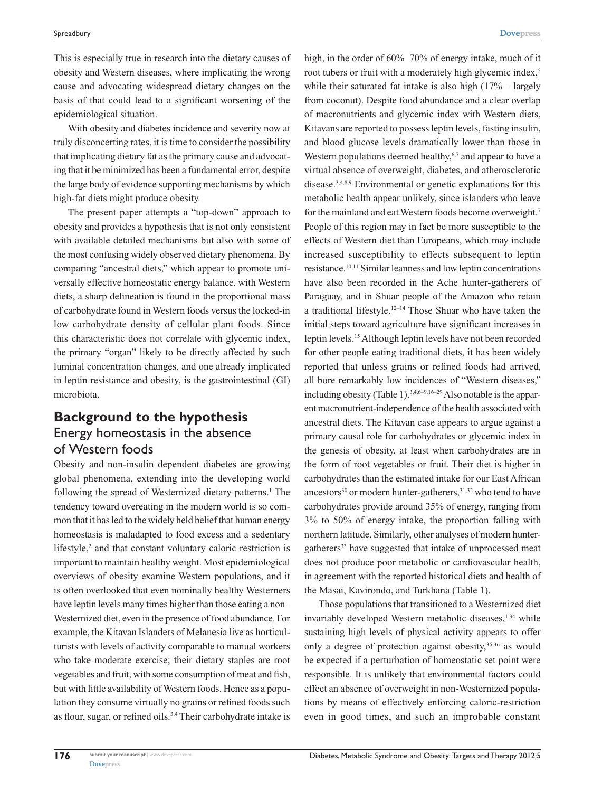This is especially true in research into the dietary causes of obesity and Western diseases, where implicating the wrong cause and advocating widespread dietary changes on the basis of that could lead to a significant worsening of the epidemiological situation.

With obesity and diabetes incidence and severity now at truly disconcerting rates, it is time to consider the possibility that implicating dietary fat as the primary cause and advocating that it be minimized has been a fundamental error, despite the large body of evidence supporting mechanisms by which high-fat diets might produce obesity.

The present paper attempts a "top-down" approach to obesity and provides a hypothesis that is not only consistent with available detailed mechanisms but also with some of the most confusing widely observed dietary phenomena. By comparing "ancestral diets," which appear to promote universally effective homeostatic energy balance, with Western diets, a sharp delineation is found in the proportional mass of carbohydrate found in Western foods versus the locked-in low carbohydrate density of cellular plant foods. Since this characteristic does not correlate with glycemic index, the primary "organ" likely to be directly affected by such luminal concentration changes, and one already implicated in leptin resistance and obesity, is the gastrointestinal (GI) microbiota.

# **Background to the hypothesis** Energy homeostasis in the absence of Western foods

Obesity and non-insulin dependent diabetes are growing global phenomena, extending into the developing world following the spread of Westernized dietary patterns.<sup>1</sup> The tendency toward overeating in the modern world is so common that it has led to the widely held belief that human energy homeostasis is maladapted to food excess and a sedentary lifestyle,<sup>2</sup> and that constant voluntary caloric restriction is important to maintain healthy weight. Most epidemiological overviews of obesity examine Western populations, and it is often overlooked that even nominally healthy Westerners have leptin levels many times higher than those eating a non– Westernized diet, even in the presence of food abundance. For example, the Kitavan Islanders of Melanesia live as horticulturists with levels of activity comparable to manual workers who take moderate exercise; their dietary staples are root vegetables and fruit, with some consumption of meat and fish, but with little availability of Western foods. Hence as a population they consume virtually no grains or refined foods such as flour, sugar, or refined oils.<sup>3,4</sup> Their carbohydrate intake is

high, in the order of 60%–70% of energy intake, much of it root tubers or fruit with a moderately high glycemic index,<sup>5</sup> while their saturated fat intake is also high (17% – largely from coconut). Despite food abundance and a clear overlap of macronutrients and glycemic index with Western diets, Kitavans are reported to possess leptin levels, fasting insulin, and blood glucose levels dramatically lower than those in Western populations deemed healthy, $6,7$  and appear to have a virtual absence of overweight, diabetes, and atherosclerotic disease.3,4,8,9 Environmental or genetic explanations for this metabolic health appear unlikely, since islanders who leave for the mainland and eat Western foods become overweight.<sup>7</sup> People of this region may in fact be more susceptible to the effects of Western diet than Europeans, which may include increased susceptibility to effects subsequent to leptin resistance.10,11 Similar leanness and low leptin concentrations have also been recorded in the Ache hunter-gatherers of Paraguay, and in Shuar people of the Amazon who retain a traditional lifestyle.12–14 Those Shuar who have taken the initial steps toward agriculture have significant increases in leptin levels.15 Although leptin levels have not been recorded for other people eating traditional diets, it has been widely reported that unless grains or refined foods had arrived, all bore remarkably low incidences of "Western diseases," including obesity (Table 1).3,4,6–9,16–29 Also notable is the apparent macronutrient-independence of the health associated with ancestral diets. The Kitavan case appears to argue against a primary causal role for carbohydrates or glycemic index in the genesis of obesity, at least when carbohydrates are in the form of root vegetables or fruit. Their diet is higher in carbohydrates than the estimated intake for our East African ancestors<sup>30</sup> or modern hunter-gatherers,<sup>31,32</sup> who tend to have carbohydrates provide around 35% of energy, ranging from 3% to 50% of energy intake, the proportion falling with northern latitude. Similarly, other analyses of modern huntergatherers<sup>33</sup> have suggested that intake of unprocessed meat does not produce poor metabolic or cardiovascular health, in agreement with the reported historical diets and health of the Masai, Kavirondo, and Turkhana (Table 1).

Those populations that transitioned to a Westernized diet invariably developed Western metabolic diseases,<sup>1,34</sup> while sustaining high levels of physical activity appears to offer only a degree of protection against obesity,<sup>35,36</sup> as would be expected if a perturbation of homeostatic set point were responsible. It is unlikely that environmental factors could effect an absence of overweight in non-Westernized populations by means of effectively enforcing caloric-restriction even in good times, and such an improbable constant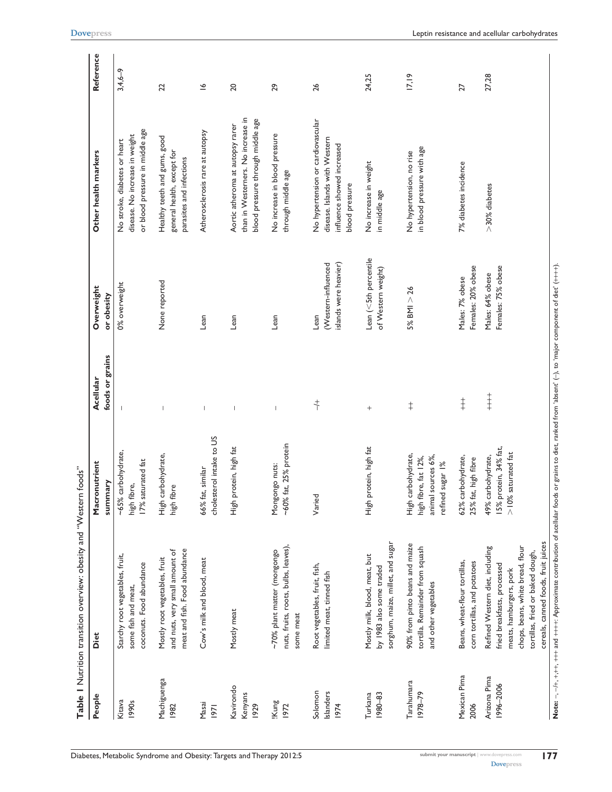| People                       | Diet                                                                                                                                                                                                     | Macronutrient<br>summary                                                             | foods or grains<br>Acellular | Overweight<br>or obesity                             | Other health markers                                                                                               | Reference      |
|------------------------------|----------------------------------------------------------------------------------------------------------------------------------------------------------------------------------------------------------|--------------------------------------------------------------------------------------|------------------------------|------------------------------------------------------|--------------------------------------------------------------------------------------------------------------------|----------------|
| Kitava<br>1990s              | Starchy root vegetables, fruit,<br>coconuts. Food abundance<br>some fish and meat,                                                                                                                       | ~65% carbohydrate,<br>17% saturated fat<br>high fibre,                               |                              | 0% overweight                                        | or blood pressure in middle age<br>disease. No increase in weight<br>No stroke, diabetes or heart                  | $3,4,6-9$      |
| Machiguenga<br>1982          | meat and fish. Food abundance<br>and nuts, very small amount of<br>Mostly root vegetables, fruit                                                                                                         | High carbohydrate,<br>high fibre                                                     |                              | None reported                                        | Healthy teeth and gums, good<br>general health, except for<br>parasites and infections                             | 22             |
| Masai<br>1971                | Cow's milk and blood, meat                                                                                                                                                                               | cholesterol intake to US<br>66% fat, similar                                         | $\overline{\phantom{a}}$     | Lean                                                 | Atherosclerosis rare at autopsy                                                                                    | $\tilde{=}$    |
| Kavirondo<br>Kenyans<br>1929 | Mostly meat                                                                                                                                                                                              | High protein, high fat                                                               |                              | Lean                                                 | than in Westerners. No increase in<br>blood pressure through middle age<br>Aortic atheroma at autopsy rarer        | 20             |
| !Kung<br>1972                | nuts, fruits, roots, bulbs, leaves),<br>~70% plant matter (mongongo<br>some meat                                                                                                                         | ~60% fat, 25% protein<br>Mongongo nuts:                                              | $\overline{\phantom{a}}$     | Lean                                                 | No increase in blood pressure<br>through middle age                                                                | 29             |
| Solomon<br>Islanders<br>1974 | Root vegetables, fruit, fish,<br>limited meat, tinned fish                                                                                                                                               | Varied                                                                               | $\ddagger$                   | islands were heavier)<br>(Western-influenced<br>Lean | No hypertension or cardiovascular<br>disease. Islands with Western<br>influence showed increased<br>blood pressure | $\frac{26}{5}$ |
| 1980-83<br>Turkana           | sorghum, maize, millet, and sugar<br>Mostly milk, blood, meat, but<br>by 1983 also some traded                                                                                                           | High protein, high fat                                                               | $^{+}$                       | Lean (<5th percentile<br>of Western weight)          | No increase in weight<br>in middle age                                                                             | 24,25          |
| Tarahumara<br>1978-79        | 90% from pinto beans and maize<br>tortilla. Remainder from squash<br>and other vegetables                                                                                                                | High carbohydrate,<br>animal sources 6%,<br>high fibre, fat 12%,<br>refined sugar 1% | $\ddagger$                   | $5\%$ BMI $> 26$                                     | in blood pressure with age<br>No hypertension, no rise                                                             | 7,  9          |
| Mexican Pima<br>2006         | Beans, wheat-flour tortillas,<br>corn tortillas, and potatoes                                                                                                                                            | 62% carbohydrate,<br>25% fat, high fibre                                             | $\ddagger$                   | Females: 20% obese<br>Males: 7% obese                | 7% diabetes incidence                                                                                              | 27             |
| Arizona Pima<br>1996-2006    | cereals, canned foods, fruit juices<br>chops, beans, white bread, flour<br>Refined Western diet, including<br>tortillas, fried or baked dough,<br>fried breakfasts, processed<br>meats, hamburgers, pork | I5% protein, 34% fat,<br>saturated fat<br>49% carbohydrate,<br>> 10%                 | $\ddagger$                   | Females: 75% obese<br>Males: 64% obese               | $>$ 30% diabetes                                                                                                   | 27,28          |

**[Dovepress](www.dovepress.com)**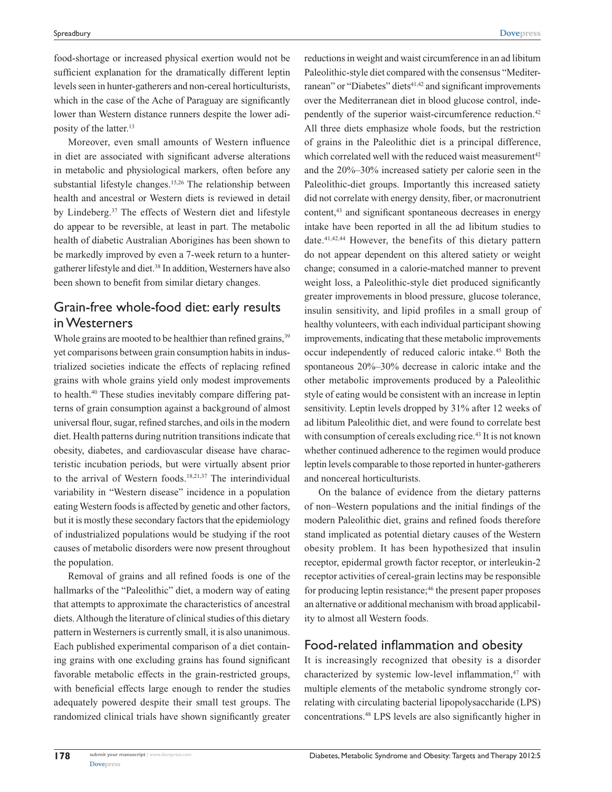food-shortage or increased physical exertion would not be sufficient explanation for the dramatically different leptin levels seen in hunter-gatherers and non-cereal horticulturists, which in the case of the Ache of Paraguay are significantly lower than Western distance runners despite the lower adiposity of the latter.<sup>13</sup>

Moreover, even small amounts of Western influence in diet are associated with significant adverse alterations in metabolic and physiological markers, often before any substantial lifestyle changes.<sup>15,26</sup> The relationship between health and ancestral or Western diets is reviewed in detail by Lindeberg.37 The effects of Western diet and lifestyle do appear to be reversible, at least in part. The metabolic health of diabetic Australian Aborigines has been shown to be markedly improved by even a 7-week return to a huntergatherer lifestyle and diet.38 In addition, Westerners have also been shown to benefit from similar dietary changes.

# Grain-free whole-food diet: early results in Westerners

Whole grains are mooted to be healthier than refined grains,<sup>39</sup> yet comparisons between grain consumption habits in industrialized societies indicate the effects of replacing refined grains with whole grains yield only modest improvements to health.40 These studies inevitably compare differing patterns of grain consumption against a background of almost universal flour, sugar, refined starches, and oils in the modern diet. Health patterns during nutrition transitions indicate that obesity, diabetes, and cardiovascular disease have characteristic incubation periods, but were virtually absent prior to the arrival of Western foods.<sup>18,21,37</sup> The interindividual variability in "Western disease" incidence in a population eating Western foods is affected by genetic and other factors, but it is mostly these secondary factors that the epidemiology of industrialized populations would be studying if the root causes of metabolic disorders were now present throughout the population.

Removal of grains and all refined foods is one of the hallmarks of the "Paleolithic" diet, a modern way of eating that attempts to approximate the characteristics of ancestral diets. Although the literature of clinical studies of this dietary pattern in Westerners is currently small, it is also unanimous. Each published experimental comparison of a diet containing grains with one excluding grains has found significant favorable metabolic effects in the grain-restricted groups, with beneficial effects large enough to render the studies adequately powered despite their small test groups. The randomized clinical trials have shown significantly greater reductions in weight and waist circumference in an ad libitum Paleolithic-style diet compared with the consensus "Mediterranean" or "Diabetes" diets<sup>41,42</sup> and significant improvements over the Mediterranean diet in blood glucose control, independently of the superior waist-circumference reduction.<sup>42</sup> All three diets emphasize whole foods, but the restriction of grains in the Paleolithic diet is a principal difference, which correlated well with the reduced waist measurement<sup>42</sup> and the 20%–30% increased satiety per calorie seen in the Paleolithic-diet groups. Importantly this increased satiety did not correlate with energy density, fiber, or macronutrient content,<sup>43</sup> and significant spontaneous decreases in energy intake have been reported in all the ad libitum studies to date.41,42,44 However, the benefits of this dietary pattern do not appear dependent on this altered satiety or weight change; consumed in a calorie-matched manner to prevent weight loss, a Paleolithic-style diet produced significantly greater improvements in blood pressure, glucose tolerance, insulin sensitivity, and lipid profiles in a small group of healthy volunteers, with each individual participant showing improvements, indicating that these metabolic improvements occur independently of reduced caloric intake.45 Both the spontaneous 20%–30% decrease in caloric intake and the other metabolic improvements produced by a Paleolithic style of eating would be consistent with an increase in leptin sensitivity. Leptin levels dropped by 31% after 12 weeks of ad libitum Paleolithic diet, and were found to correlate best with consumption of cereals excluding rice.<sup>43</sup> It is not known whether continued adherence to the regimen would produce leptin levels comparable to those reported in hunter-gatherers and noncereal horticulturists.

On the balance of evidence from the dietary patterns of non–Western populations and the initial findings of the modern Paleolithic diet, grains and refined foods therefore stand implicated as potential dietary causes of the Western obesity problem. It has been hypothesized that insulin receptor, epidermal growth factor receptor, or interleukin-2 receptor activities of cereal-grain lectins may be responsible for producing leptin resistance;<sup>46</sup> the present paper proposes an alternative or additional mechanism with broad applicability to almost all Western foods.

#### Food-related inflammation and obesity

It is increasingly recognized that obesity is a disorder characterized by systemic low-level inflammation, $47$  with multiple elements of the metabolic syndrome strongly correlating with circulating bacterial lipopolysaccharide (LPS) concentrations.48 LPS levels are also significantly higher in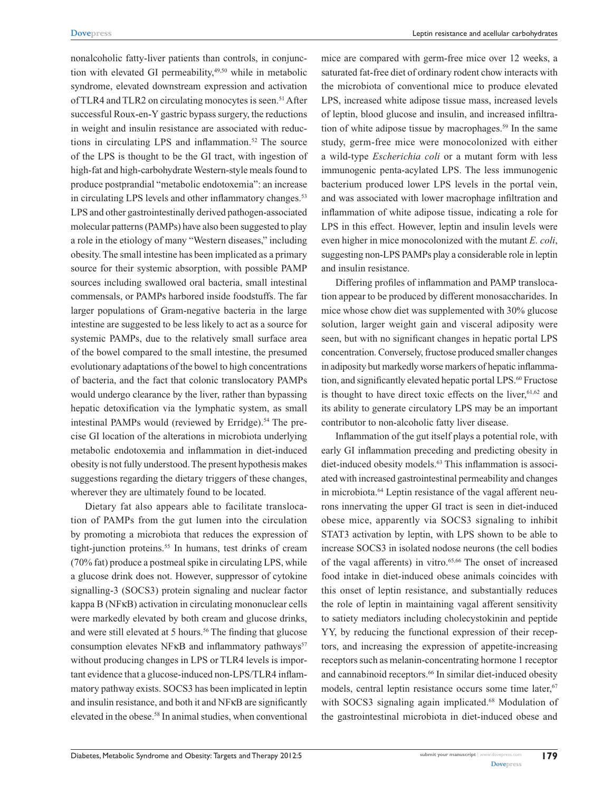nonalcoholic fatty-liver patients than controls, in conjunction with elevated GI permeability,<sup>49,50</sup> while in metabolic syndrome, elevated downstream expression and activation of TLR4 and TLR2 on circulating monocytes is seen.<sup>51</sup> After successful Roux-en-Y gastric bypass surgery, the reductions in weight and insulin resistance are associated with reductions in circulating LPS and inflammation.<sup>52</sup> The source of the LPS is thought to be the GI tract, with ingestion of high-fat and high-carbohydrate Western-style meals found to produce postprandial "metabolic endotoxemia": an increase in circulating LPS levels and other inflammatory changes.<sup>53</sup> LPS and other gastrointestinally derived pathogen-associated molecular patterns (PAMPs) have also been suggested to play a role in the etiology of many "Western diseases," including obesity. The small intestine has been implicated as a primary source for their systemic absorption, with possible PAMP sources including swallowed oral bacteria, small intestinal commensals, or PAMPs harbored inside foodstuffs. The far larger populations of Gram-negative bacteria in the large intestine are suggested to be less likely to act as a source for systemic PAMPs, due to the relatively small surface area of the bowel compared to the small intestine, the presumed evolutionary adaptations of the bowel to high concentrations of bacteria, and the fact that colonic translocatory PAMPs would undergo clearance by the liver, rather than bypassing hepatic detoxification via the lymphatic system, as small intestinal PAMPs would (reviewed by Erridge).<sup>54</sup> The precise GI location of the alterations in microbiota underlying metabolic endotoxemia and inflammation in diet-induced obesity is not fully understood. The present hypothesis makes suggestions regarding the dietary triggers of these changes, wherever they are ultimately found to be located.

Dietary fat also appears able to facilitate translocation of PAMPs from the gut lumen into the circulation by promoting a microbiota that reduces the expression of tight-junction proteins.<sup>55</sup> In humans, test drinks of cream (70% fat) produce a postmeal spike in circulating LPS, while a glucose drink does not. However, suppressor of cytokine signalling-3 (SOCS3) protein signaling and nuclear factor kappa B (NFκB) activation in circulating mononuclear cells were markedly elevated by both cream and glucose drinks, and were still elevated at 5 hours.<sup>56</sup> The finding that glucose consumption elevates NF $\kappa$ B and inflammatory pathways<sup>57</sup> without producing changes in LPS or TLR4 levels is important evidence that a glucose-induced non-LPS/TLR4 inflammatory pathway exists. SOCS3 has been implicated in leptin and insulin resistance, and both it and NFκB are significantly elevated in the obese.58 In animal studies, when conventional

mice are compared with germ-free mice over 12 weeks, a saturated fat-free diet of ordinary rodent chow interacts with the microbiota of conventional mice to produce elevated LPS, increased white adipose tissue mass, increased levels of leptin, blood glucose and insulin, and increased infiltration of white adipose tissue by macrophages.<sup>59</sup> In the same study, germ-free mice were monocolonized with either a wild-type *Escherichia coli* or a mutant form with less immunogenic penta-acylated LPS. The less immunogenic bacterium produced lower LPS levels in the portal vein, and was associated with lower macrophage infiltration and inflammation of white adipose tissue, indicating a role for LPS in this effect. However, leptin and insulin levels were even higher in mice monocolonized with the mutant *E. coli*, suggesting non-LPS PAMPs play a considerable role in leptin and insulin resistance.

Differing profiles of inflammation and PAMP translocation appear to be produced by different monosaccharides. In mice whose chow diet was supplemented with 30% glucose solution, larger weight gain and visceral adiposity were seen, but with no significant changes in hepatic portal LPS concentration. Conversely, fructose produced smaller changes in adiposity but markedly worse markers of hepatic inflammation, and significantly elevated hepatic portal LPS.<sup>60</sup> Fructose is thought to have direct toxic effects on the liver,  $61,62$  and its ability to generate circulatory LPS may be an important contributor to non-alcoholic fatty liver disease.

Inflammation of the gut itself plays a potential role, with early GI inflammation preceding and predicting obesity in diet-induced obesity models.<sup>63</sup> This inflammation is associated with increased gastrointestinal permeability and changes in microbiota.<sup>64</sup> Leptin resistance of the vagal afferent neurons innervating the upper GI tract is seen in diet-induced obese mice, apparently via SOCS3 signaling to inhibit STAT3 activation by leptin, with LPS shown to be able to increase SOCS3 in isolated nodose neurons (the cell bodies of the vagal afferents) in vitro.<sup>65,66</sup> The onset of increased food intake in diet-induced obese animals coincides with this onset of leptin resistance, and substantially reduces the role of leptin in maintaining vagal afferent sensitivity to satiety mediators including cholecystokinin and peptide YY, by reducing the functional expression of their receptors, and increasing the expression of appetite-increasing receptors such as melanin-concentrating hormone 1 receptor and cannabinoid receptors.<sup>66</sup> In similar diet-induced obesity models, central leptin resistance occurs some time later,<sup>67</sup> with SOCS3 signaling again implicated.<sup>68</sup> Modulation of the gastrointestinal microbiota in diet-induced obese and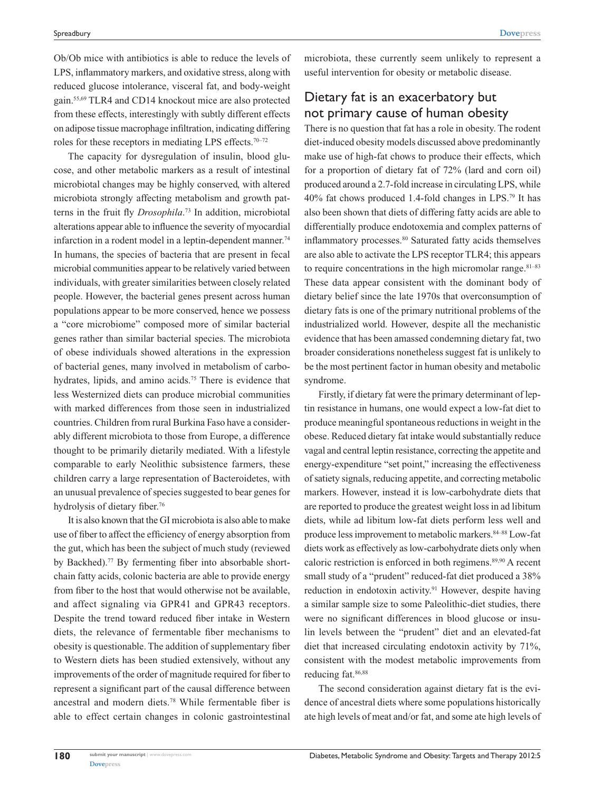Ob/Ob mice with antibiotics is able to reduce the levels of LPS, inflammatory markers, and oxidative stress, along with reduced glucose intolerance, visceral fat, and body-weight gain.55,69 TLR4 and CD14 knockout mice are also protected from these effects, interestingly with subtly different effects on adipose tissue macrophage infiltration, indicating differing roles for these receptors in mediating LPS effects.70–72

The capacity for dysregulation of insulin, blood glucose, and other metabolic markers as a result of intestinal microbiotal changes may be highly conserved, with altered microbiota strongly affecting metabolism and growth patterns in the fruit fly *Drosophila*. 73 In addition, microbiotal alterations appear able to influence the severity of myocardial infarction in a rodent model in a leptin-dependent manner.<sup>74</sup> In humans, the species of bacteria that are present in fecal microbial communities appear to be relatively varied between individuals, with greater similarities between closely related people. However, the bacterial genes present across human populations appear to be more conserved, hence we possess a "core microbiome" composed more of similar bacterial genes rather than similar bacterial species. The microbiota of obese individuals showed alterations in the expression of bacterial genes, many involved in metabolism of carbohydrates, lipids, and amino acids.<sup>75</sup> There is evidence that less Westernized diets can produce microbial communities with marked differences from those seen in industrialized countries. Children from rural Burkina Faso have a considerably different microbiota to those from Europe, a difference thought to be primarily dietarily mediated. With a lifestyle comparable to early Neolithic subsistence farmers, these children carry a large representation of Bacteroidetes, with an unusual prevalence of species suggested to bear genes for hydrolysis of dietary fiber.<sup>76</sup>

It is also known that the GI microbiota is also able to make use of fiber to affect the efficiency of energy absorption from the gut, which has been the subject of much study (reviewed by Backhed).<sup>77</sup> By fermenting fiber into absorbable shortchain fatty acids, colonic bacteria are able to provide energy from fiber to the host that would otherwise not be available, and affect signaling via GPR41 and GPR43 receptors. Despite the trend toward reduced fiber intake in Western diets, the relevance of fermentable fiber mechanisms to obesity is questionable. The addition of supplementary fiber to Western diets has been studied extensively, without any improvements of the order of magnitude required for fiber to represent a significant part of the causal difference between ancestral and modern diets.78 While fermentable fiber is able to effect certain changes in colonic gastrointestinal

microbiota, these currently seem unlikely to represent a useful intervention for obesity or metabolic disease.

### Dietary fat is an exacerbatory but not primary cause of human obesity

There is no question that fat has a role in obesity. The rodent diet-induced obesity models discussed above predominantly make use of high-fat chows to produce their effects, which for a proportion of dietary fat of 72% (lard and corn oil) produced around a 2.7-fold increase in circulating LPS, while 40% fat chows produced 1.4-fold changes in LPS.79 It has also been shown that diets of differing fatty acids are able to differentially produce endotoxemia and complex patterns of inflammatory processes.<sup>80</sup> Saturated fatty acids themselves are also able to activate the LPS receptor TLR4; this appears to require concentrations in the high micromolar range. $81-83$ These data appear consistent with the dominant body of dietary belief since the late 1970s that overconsumption of dietary fats is one of the primary nutritional problems of the industrialized world. However, despite all the mechanistic evidence that has been amassed condemning dietary fat, two broader considerations nonetheless suggest fat is unlikely to be the most pertinent factor in human obesity and metabolic syndrome.

Firstly, if dietary fat were the primary determinant of leptin resistance in humans, one would expect a low-fat diet to produce meaningful spontaneous reductions in weight in the obese. Reduced dietary fat intake would substantially reduce vagal and central leptin resistance, correcting the appetite and energy-expenditure "set point," increasing the effectiveness of satiety signals, reducing appetite, and correcting metabolic markers. However, instead it is low-carbohydrate diets that are reported to produce the greatest weight loss in ad libitum diets, while ad libitum low-fat diets perform less well and produce less improvement to metabolic markers.<sup>84–88</sup> Low-fat diets work as effectively as low-carbohydrate diets only when caloric restriction is enforced in both regimens.89,90 A recent small study of a "prudent" reduced-fat diet produced a 38% reduction in endotoxin activity.<sup>91</sup> However, despite having a similar sample size to some Paleolithic-diet studies, there were no significant differences in blood glucose or insulin levels between the "prudent" diet and an elevated-fat diet that increased circulating endotoxin activity by 71%, consistent with the modest metabolic improvements from reducing fat.<sup>86,88</sup>

The second consideration against dietary fat is the evidence of ancestral diets where some populations historically ate high levels of meat and/or fat, and some ate high levels of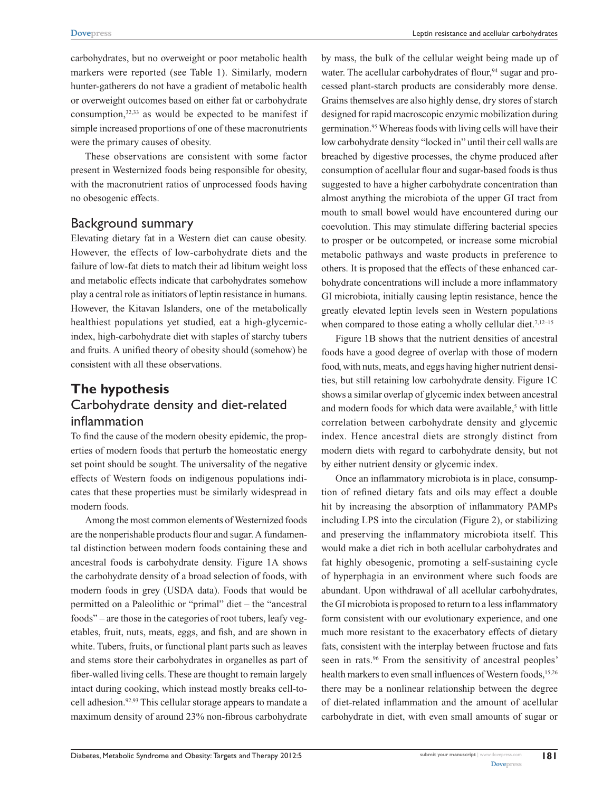carbohydrates, but no overweight or poor metabolic health markers were reported (see Table 1). Similarly, modern hunter-gatherers do not have a gradient of metabolic health or overweight outcomes based on either fat or carbohydrate consumption, $32,33$  as would be expected to be manifest if simple increased proportions of one of these macronutrients were the primary causes of obesity.

These observations are consistent with some factor present in Westernized foods being responsible for obesity, with the macronutrient ratios of unprocessed foods having no obesogenic effects.

#### Background summary

Elevating dietary fat in a Western diet can cause obesity. However, the effects of low-carbohydrate diets and the failure of low-fat diets to match their ad libitum weight loss and metabolic effects indicate that carbohydrates somehow play a central role as initiators of leptin resistance in humans. However, the Kitavan Islanders, one of the metabolically healthiest populations yet studied, eat a high-glycemicindex, high-carbohydrate diet with staples of starchy tubers and fruits. A unified theory of obesity should (somehow) be consistent with all these observations.

# **The hypothesis** Carbohydrate density and diet-related inflammation

To find the cause of the modern obesity epidemic, the properties of modern foods that perturb the homeostatic energy set point should be sought. The universality of the negative effects of Western foods on indigenous populations indicates that these properties must be similarly widespread in modern foods.

Among the most common elements of Westernized foods are the nonperishable products flour and sugar. A fundamental distinction between modern foods containing these and ancestral foods is carbohydrate density. Figure 1A shows the carbohydrate density of a broad selection of foods, with modern foods in grey (USDA data). Foods that would be permitted on a Paleolithic or "primal" diet – the "ancestral foods" – are those in the categories of root tubers, leafy vegetables, fruit, nuts, meats, eggs, and fish, and are shown in white. Tubers, fruits, or functional plant parts such as leaves and stems store their carbohydrates in organelles as part of fiber-walled living cells. These are thought to remain largely intact during cooking, which instead mostly breaks cell-tocell adhesion.<sup>92,93</sup> This cellular storage appears to mandate a maximum density of around 23% non-fibrous carbohydrate

by mass, the bulk of the cellular weight being made up of water. The acellular carbohydrates of flour, $94$  sugar and processed plant-starch products are considerably more dense. Grains themselves are also highly dense, dry stores of starch designed for rapid macroscopic enzymic mobilization during germination.95 Whereas foods with living cells will have their low carbohydrate density "locked in" until their cell walls are breached by digestive processes, the chyme produced after consumption of acellular flour and sugar-based foods is thus suggested to have a higher carbohydrate concentration than almost anything the microbiota of the upper GI tract from mouth to small bowel would have encountered during our coevolution. This may stimulate differing bacterial species to prosper or be outcompeted, or increase some microbial metabolic pathways and waste products in preference to others. It is proposed that the effects of these enhanced carbohydrate concentrations will include a more inflammatory GI microbiota, initially causing leptin resistance, hence the greatly elevated leptin levels seen in Western populations when compared to those eating a wholly cellular diet.<sup>7,12-15</sup>

Figure 1B shows that the nutrient densities of ancestral foods have a good degree of overlap with those of modern food, with nuts, meats, and eggs having higher nutrient densities, but still retaining low carbohydrate density. Figure 1C shows a similar overlap of glycemic index between ancestral and modern foods for which data were available,<sup>5</sup> with little correlation between carbohydrate density and glycemic index. Hence ancestral diets are strongly distinct from modern diets with regard to carbohydrate density, but not by either nutrient density or glycemic index.

Once an inflammatory microbiota is in place, consumption of refined dietary fats and oils may effect a double hit by increasing the absorption of inflammatory PAMPs including LPS into the circulation (Figure 2), or stabilizing and preserving the inflammatory microbiota itself. This would make a diet rich in both acellular carbohydrates and fat highly obesogenic, promoting a self-sustaining cycle of hyperphagia in an environment where such foods are abundant. Upon withdrawal of all acellular carbohydrates, the GI microbiota is proposed to return to a less inflammatory form consistent with our evolutionary experience, and one much more resistant to the exacerbatory effects of dietary fats, consistent with the interplay between fructose and fats seen in rats.<sup>96</sup> From the sensitivity of ancestral peoples' health markers to even small influences of Western foods,<sup>15,26</sup> there may be a nonlinear relationship between the degree of diet-related inflammation and the amount of acellular carbohydrate in diet, with even small amounts of sugar or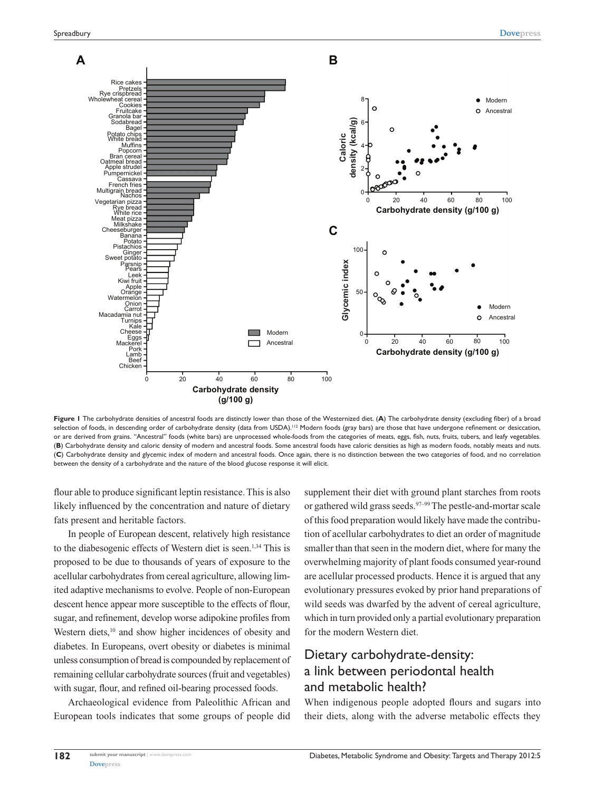

Figure I The carbohydrate densities of ancestral foods are distinctly lower than those of the Westernized diet. (A) The carbohydrate density (excluding fiber) of a broad selection of foods, in descending order of carbohydrate density (data from USDA).<sup>112</sup> Modern foods (gray bars) are those that have undergone refinement or desiccation, or are derived from grains. "Ancestral" foods (white bars) are unprocessed whole-foods from the categories of meats, eggs, fish, nuts, fruits, tubers, and leafy vegetables. (**B**) Carbohydrate density and caloric density of modern and ancestral foods. Some ancestral foods have caloric densities as high as modern foods, notably meats and nuts. (**C**) Carbohydrate density and glycemic index of modern and ancestral foods. Once again, there is no distinction between the two categories of food, and no correlation between the density of a carbohydrate and the nature of the blood glucose response it will elicit.

flour able to produce significant leptin resistance. This is also likely influenced by the concentration and nature of dietary fats present and heritable factors.

In people of European descent, relatively high resistance to the diabesogenic effects of Western diet is seen.<sup>1,34</sup> This is proposed to be due to thousands of years of exposure to the acellular carbohydrates from cereal agriculture, allowing limited adaptive mechanisms to evolve. People of non-European descent hence appear more susceptible to the effects of flour, sugar, and refinement, develop worse adipokine profiles from Western diets,<sup>10</sup> and show higher incidences of obesity and diabetes. In Europeans, overt obesity or diabetes is minimal unless consumption of bread is compounded by replacement of remaining cellular carbohydrate sources (fruit and vegetables) with sugar, flour, and refined oil-bearing processed foods.

Archaeological evidence from Paleolithic African and European tools indicates that some groups of people did supplement their diet with ground plant starches from roots or gathered wild grass seeds.<sup>97–99</sup> The pestle-and-mortar scale of this food preparation would likely have made the contribution of acellular carbohydrates to diet an order of magnitude smaller than that seen in the modern diet, where for many the overwhelming majority of plant foods consumed year-round are acellular processed products. Hence it is argued that any evolutionary pressures evoked by prior hand preparations of wild seeds was dwarfed by the advent of cereal agriculture, which in turn provided only a partial evolutionary preparation for the modern Western diet.

#### Dietary carbohydrate-density: a link between periodontal health and metabolic health?

When indigenous people adopted flours and sugars into their diets, along with the adverse metabolic effects they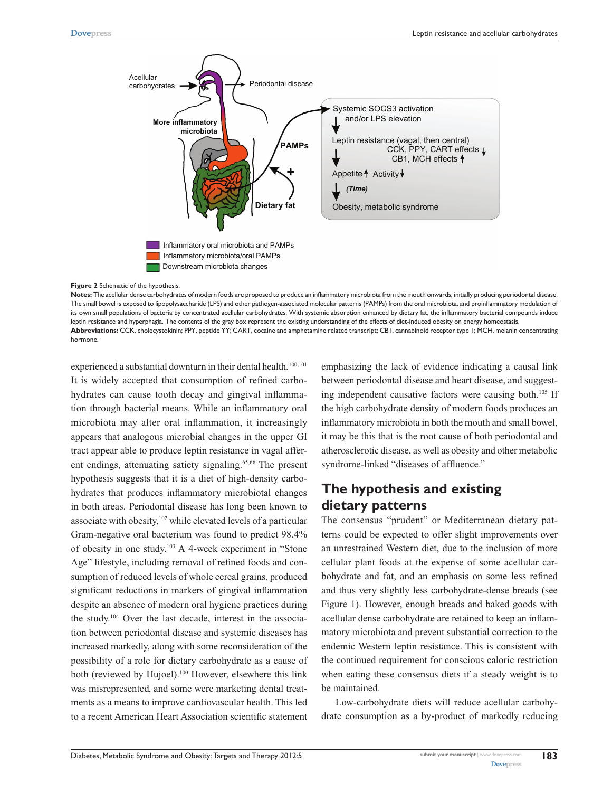

#### **Figure 2** Schematic of the hypothesis.

**Notes:** The acellular dense carbohydrates of modern foods are proposed to produce an inflammatory microbiota from the mouth onwards, initially producing periodontal disease. The small bowel is exposed to lipopolysaccharide (LPS) and other pathogen-associated molecular patterns (PAMPs) from the oral microbiota, and proinflammatory modulation of its own small populations of bacteria by concentrated acellular carbohydrates. With systemic absorption enhanced by dietary fat, the inflammatory bacterial compounds induce leptin resistance and hyperphagia. The contents of the gray box represent the existing understanding of the effects of diet-induced obesity on energy homeostasis. **Abbreviations:** CCK, cholecystokinin; PPY, peptide YY; CART, cocaine and amphetamine related transcript; CB1, cannabinoid receptor type 1; MCH, melanin concentrating hormone.

experienced a substantial downturn in their dental health.<sup>100,101</sup> It is widely accepted that consumption of refined carbohydrates can cause tooth decay and gingival inflammation through bacterial means. While an inflammatory oral microbiota may alter oral inflammation, it increasingly appears that analogous microbial changes in the upper GI tract appear able to produce leptin resistance in vagal afferent endings, attenuating satiety signaling.<sup>65,66</sup> The present hypothesis suggests that it is a diet of high-density carbohydrates that produces inflammatory microbiotal changes in both areas. Periodontal disease has long been known to associate with obesity,<sup>102</sup> while elevated levels of a particular Gram-negative oral bacterium was found to predict 98.4% of obesity in one study.103 A 4-week experiment in "Stone Age" lifestyle, including removal of refined foods and consumption of reduced levels of whole cereal grains, produced significant reductions in markers of gingival inflammation despite an absence of modern oral hygiene practices during the study.104 Over the last decade, interest in the association between periodontal disease and systemic diseases has increased markedly, along with some reconsideration of the possibility of a role for dietary carbohydrate as a cause of both (reviewed by Hujoel).100 However, elsewhere this link was misrepresented, and some were marketing dental treatments as a means to improve cardiovascular health. This led to a recent American Heart Association scientific statement

emphasizing the lack of evidence indicating a causal link between periodontal disease and heart disease, and suggesting independent causative factors were causing both.<sup>105</sup> If the high carbohydrate density of modern foods produces an inflammatory microbiota in both the mouth and small bowel, it may be this that is the root cause of both periodontal and atherosclerotic disease, as well as obesity and other metabolic syndrome-linked "diseases of affluence."

### **The hypothesis and existing dietary patterns**

The consensus "prudent" or Mediterranean dietary patterns could be expected to offer slight improvements over an unrestrained Western diet, due to the inclusion of more cellular plant foods at the expense of some acellular carbohydrate and fat, and an emphasis on some less refined and thus very slightly less carbohydrate-dense breads (see Figure 1). However, enough breads and baked goods with acellular dense carbohydrate are retained to keep an inflammatory microbiota and prevent substantial correction to the endemic Western leptin resistance. This is consistent with the continued requirement for conscious caloric restriction when eating these consensus diets if a steady weight is to be maintained.

Low-carbohydrate diets will reduce acellular carbohydrate consumption as a by-product of markedly reducing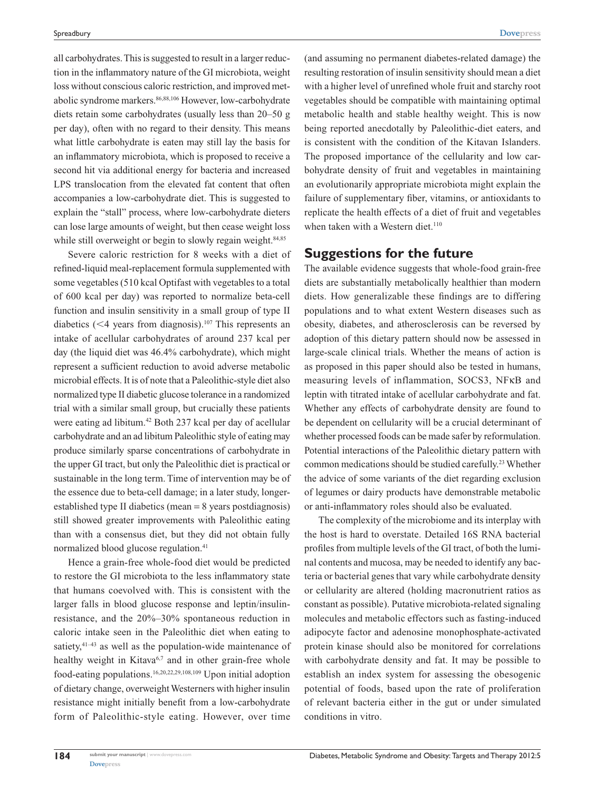all carbohydrates. This is suggested to result in a larger reduction in the inflammatory nature of the GI microbiota, weight loss without conscious caloric restriction, and improved metabolic syndrome markers.<sup>86,88,106</sup> However, low-carbohydrate diets retain some carbohydrates (usually less than 20–50 g per day), often with no regard to their density. This means what little carbohydrate is eaten may still lay the basis for an inflammatory microbiota, which is proposed to receive a second hit via additional energy for bacteria and increased LPS translocation from the elevated fat content that often accompanies a low-carbohydrate diet. This is suggested to explain the "stall" process, where low-carbohydrate dieters can lose large amounts of weight, but then cease weight loss while still overweight or begin to slowly regain weight.<sup>84,85</sup>

Severe caloric restriction for 8 weeks with a diet of refined-liquid meal-replacement formula supplemented with some vegetables (510 kcal Optifast with vegetables to a total of 600 kcal per day) was reported to normalize beta-cell function and insulin sensitivity in a small group of type II diabetics ( $\leq$ 4 years from diagnosis).<sup>107</sup> This represents an intake of acellular carbohydrates of around 237 kcal per day (the liquid diet was 46.4% carbohydrate), which might represent a sufficient reduction to avoid adverse metabolic microbial effects. It is of note that a Paleolithic-style diet also normalized type II diabetic glucose tolerance in a randomized trial with a similar small group, but crucially these patients were eating ad libitum.<sup>42</sup> Both 237 kcal per day of acellular carbohydrate and an ad libitum Paleolithic style of eating may produce similarly sparse concentrations of carbohydrate in the upper GI tract, but only the Paleolithic diet is practical or sustainable in the long term. Time of intervention may be of the essence due to beta-cell damage; in a later study, longerestablished type II diabetics (mean = 8 years postdiagnosis) still showed greater improvements with Paleolithic eating than with a consensus diet, but they did not obtain fully normalized blood glucose regulation.<sup>41</sup>

Hence a grain-free whole-food diet would be predicted to restore the GI microbiota to the less inflammatory state that humans coevolved with. This is consistent with the larger falls in blood glucose response and leptin/insulinresistance, and the 20%–30% spontaneous reduction in caloric intake seen in the Paleolithic diet when eating to satiety, $41-43$  as well as the population-wide maintenance of healthy weight in Kitava<sup>6,7</sup> and in other grain-free whole food-eating populations.16,20,22,29,108,109 Upon initial adoption of dietary change, overweight Westerners with higher insulin resistance might initially benefit from a low-carbohydrate form of Paleolithic-style eating. However, over time (and assuming no permanent diabetes-related damage) the resulting restoration of insulin sensitivity should mean a diet with a higher level of unrefined whole fruit and starchy root vegetables should be compatible with maintaining optimal metabolic health and stable healthy weight. This is now being reported anecdotally by Paleolithic-diet eaters, and is consistent with the condition of the Kitavan Islanders. The proposed importance of the cellularity and low carbohydrate density of fruit and vegetables in maintaining an evolutionarily appropriate microbiota might explain the failure of supplementary fiber, vitamins, or antioxidants to replicate the health effects of a diet of fruit and vegetables when taken with a Western diet.<sup>110</sup>

#### **Suggestions for the future**

The available evidence suggests that whole-food grain-free diets are substantially metabolically healthier than modern diets. How generalizable these findings are to differing populations and to what extent Western diseases such as obesity, diabetes, and atherosclerosis can be reversed by adoption of this dietary pattern should now be assessed in large-scale clinical trials. Whether the means of action is as proposed in this paper should also be tested in humans, measuring levels of inflammation, SOCS3, NFκB and leptin with titrated intake of acellular carbohydrate and fat. Whether any effects of carbohydrate density are found to be dependent on cellularity will be a crucial determinant of whether processed foods can be made safer by reformulation. Potential interactions of the Paleolithic dietary pattern with common medications should be studied carefully.<sup>23</sup> Whether the advice of some variants of the diet regarding exclusion of legumes or dairy products have demonstrable metabolic or anti-inflammatory roles should also be evaluated.

The complexity of the microbiome and its interplay with the host is hard to overstate. Detailed 16S RNA bacterial profiles from multiple levels of the GI tract, of both the luminal contents and mucosa, may be needed to identify any bacteria or bacterial genes that vary while carbohydrate density or cellularity are altered (holding macronutrient ratios as constant as possible). Putative microbiota-related signaling molecules and metabolic effectors such as fasting-induced adipocyte factor and adenosine monophosphate-activated protein kinase should also be monitored for correlations with carbohydrate density and fat. It may be possible to establish an index system for assessing the obesogenic potential of foods, based upon the rate of proliferation of relevant bacteria either in the gut or under simulated conditions in vitro.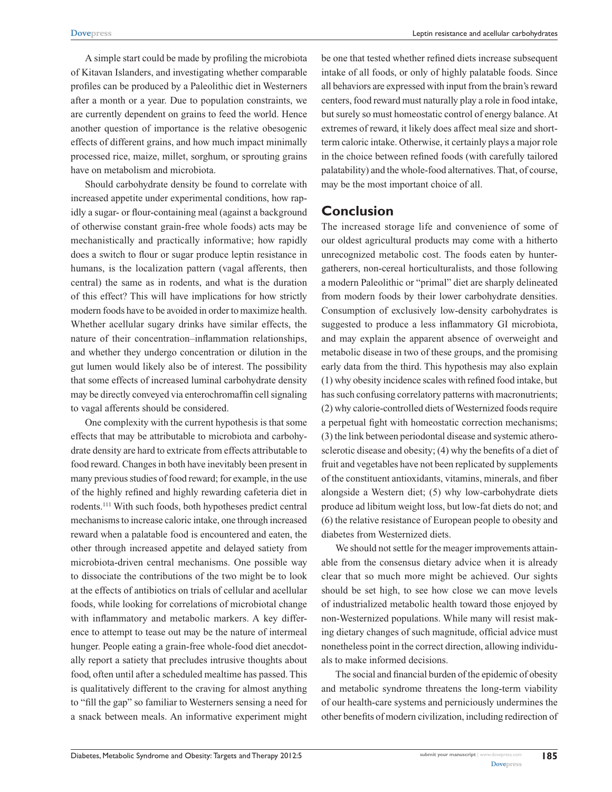A simple start could be made by profiling the microbiota of Kitavan Islanders, and investigating whether comparable profiles can be produced by a Paleolithic diet in Westerners after a month or a year. Due to population constraints, we are currently dependent on grains to feed the world. Hence another question of importance is the relative obesogenic effects of different grains, and how much impact minimally processed rice, maize, millet, sorghum, or sprouting grains have on metabolism and microbiota.

Should carbohydrate density be found to correlate with increased appetite under experimental conditions, how rapidly a sugar- or flour-containing meal (against a background of otherwise constant grain-free whole foods) acts may be mechanistically and practically informative; how rapidly does a switch to flour or sugar produce leptin resistance in humans, is the localization pattern (vagal afferents, then central) the same as in rodents, and what is the duration of this effect? This will have implications for how strictly modern foods have to be avoided in order to maximize health. Whether acellular sugary drinks have similar effects, the nature of their concentration–inflammation relationships, and whether they undergo concentration or dilution in the gut lumen would likely also be of interest. The possibility that some effects of increased luminal carbohydrate density may be directly conveyed via enterochromaffin cell signaling to vagal afferents should be considered.

One complexity with the current hypothesis is that some effects that may be attributable to microbiota and carbohydrate density are hard to extricate from effects attributable to food reward. Changes in both have inevitably been present in many previous studies of food reward; for example, in the use of the highly refined and highly rewarding cafeteria diet in rodents.111 With such foods, both hypotheses predict central mechanisms to increase caloric intake, one through increased reward when a palatable food is encountered and eaten, the other through increased appetite and delayed satiety from microbiota-driven central mechanisms. One possible way to dissociate the contributions of the two might be to look at the effects of antibiotics on trials of cellular and acellular foods, while looking for correlations of microbiotal change with inflammatory and metabolic markers. A key difference to attempt to tease out may be the nature of intermeal hunger. People eating a grain-free whole-food diet anecdotally report a satiety that precludes intrusive thoughts about food, often until after a scheduled mealtime has passed. This is qualitatively different to the craving for almost anything to "fill the gap" so familiar to Westerners sensing a need for a snack between meals. An informative experiment might

be one that tested whether refined diets increase subsequent intake of all foods, or only of highly palatable foods. Since all behaviors are expressed with input from the brain's reward centers, food reward must naturally play a role in food intake, but surely so must homeostatic control of energy balance. At extremes of reward, it likely does affect meal size and shortterm caloric intake. Otherwise, it certainly plays a major role in the choice between refined foods (with carefully tailored palatability) and the whole-food alternatives. That, of course, may be the most important choice of all.

#### **Conclusion**

The increased storage life and convenience of some of our oldest agricultural products may come with a hitherto unrecognized metabolic cost. The foods eaten by huntergatherers, non-cereal horticulturalists, and those following a modern Paleolithic or "primal" diet are sharply delineated from modern foods by their lower carbohydrate densities. Consumption of exclusively low-density carbohydrates is suggested to produce a less inflammatory GI microbiota, and may explain the apparent absence of overweight and metabolic disease in two of these groups, and the promising early data from the third. This hypothesis may also explain (1) why obesity incidence scales with refined food intake, but has such confusing correlatory patterns with macronutrients; (2) why calorie-controlled diets of Westernized foods require a perpetual fight with homeostatic correction mechanisms; (3) the link between periodontal disease and systemic atherosclerotic disease and obesity; (4) why the benefits of a diet of fruit and vegetables have not been replicated by supplements of the constituent antioxidants, vitamins, minerals, and fiber alongside a Western diet; (5) why low-carbohydrate diets produce ad libitum weight loss, but low-fat diets do not; and (6) the relative resistance of European people to obesity and diabetes from Westernized diets.

We should not settle for the meager improvements attainable from the consensus dietary advice when it is already clear that so much more might be achieved. Our sights should be set high, to see how close we can move levels of industrialized metabolic health toward those enjoyed by non-Westernized populations. While many will resist making dietary changes of such magnitude, official advice must nonetheless point in the correct direction, allowing individuals to make informed decisions.

The social and financial burden of the epidemic of obesity and metabolic syndrome threatens the long-term viability of our health-care systems and perniciously undermines the other benefits of modern civilization, including redirection of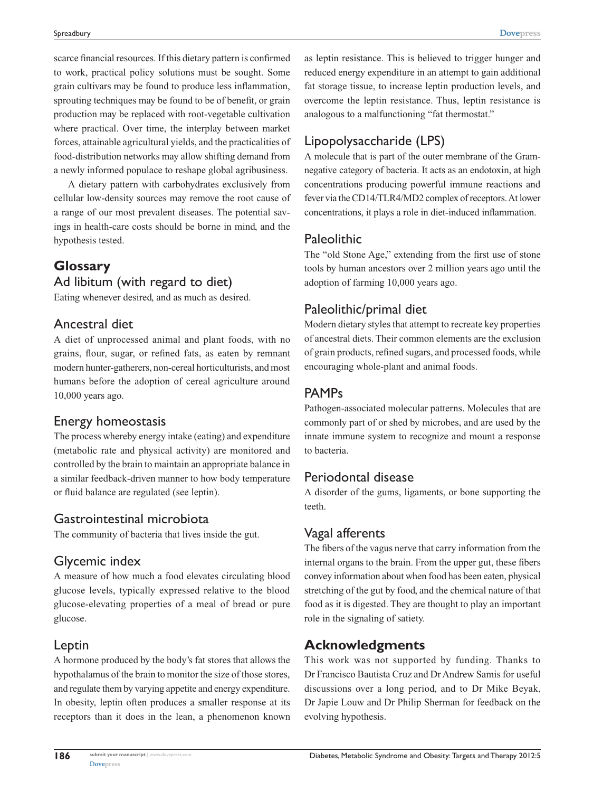**[Dovepress](www.dovepress.com)**

scarce financial resources. If this dietary pattern is confirmed to work, practical policy solutions must be sought. Some grain cultivars may be found to produce less inflammation, sprouting techniques may be found to be of benefit, or grain production may be replaced with root-vegetable cultivation where practical. Over time, the interplay between market forces, attainable agricultural yields, and the practicalities of food-distribution networks may allow shifting demand from a newly informed populace to reshape global agribusiness.

A dietary pattern with carbohydrates exclusively from cellular low-density sources may remove the root cause of a range of our most prevalent diseases. The potential savings in health-care costs should be borne in mind, and the hypothesis tested.

# **Glossary** Ad libitum (with regard to diet)

Eating whenever desired, and as much as desired.

#### Ancestral diet

A diet of unprocessed animal and plant foods, with no grains, flour, sugar, or refined fats, as eaten by remnant modern hunter-gatherers, non-cereal horticulturists, and most humans before the adoption of cereal agriculture around 10,000 years ago.

#### Energy homeostasis

The process whereby energy intake (eating) and expenditure (metabolic rate and physical activity) are monitored and controlled by the brain to maintain an appropriate balance in a similar feedback-driven manner to how body temperature or fluid balance are regulated (see leptin).

### Gastrointestinal microbiota

The community of bacteria that lives inside the gut.

#### Glycemic index

A measure of how much a food elevates circulating blood glucose levels, typically expressed relative to the blood glucose-elevating properties of a meal of bread or pure glucose.

#### Leptin

A hormone produced by the body's fat stores that allows the hypothalamus of the brain to monitor the size of those stores, and regulate them by varying appetite and energy expenditure. In obesity, leptin often produces a smaller response at its receptors than it does in the lean, a phenomenon known as leptin resistance. This is believed to trigger hunger and reduced energy expenditure in an attempt to gain additional fat storage tissue, to increase leptin production levels, and overcome the leptin resistance. Thus, leptin resistance is analogous to a malfunctioning "fat thermostat."

# Lipopolysaccharide (LPS)

A molecule that is part of the outer membrane of the Gramnegative category of bacteria. It acts as an endotoxin, at high concentrations producing powerful immune reactions and fever via the CD14/TLR4/MD2 complex of receptors. At lower concentrations, it plays a role in diet-induced inflammation.

### Paleolithic

The "old Stone Age," extending from the first use of stone tools by human ancestors over 2 million years ago until the adoption of farming 10,000 years ago.

# Paleolithic/primal diet

Modern dietary styles that attempt to recreate key properties of ancestral diets. Their common elements are the exclusion of grain products, refined sugars, and processed foods, while encouraging whole-plant and animal foods.

#### PAMPs

Pathogen-associated molecular patterns. Molecules that are commonly part of or shed by microbes, and are used by the innate immune system to recognize and mount a response to bacteria.

#### Periodontal disease

A disorder of the gums, ligaments, or bone supporting the teeth.

# Vagal afferents

The fibers of the vagus nerve that carry information from the internal organs to the brain. From the upper gut, these fibers convey information about when food has been eaten, physical stretching of the gut by food, and the chemical nature of that food as it is digested. They are thought to play an important role in the signaling of satiety.

### **Acknowledgments**

This work was not supported by funding. Thanks to Dr Francisco Bautista Cruz and Dr Andrew Samis for useful discussions over a long period, and to Dr Mike Beyak, Dr Japie Louw and Dr Philip Sherman for feedback on the evolving hypothesis.

**186**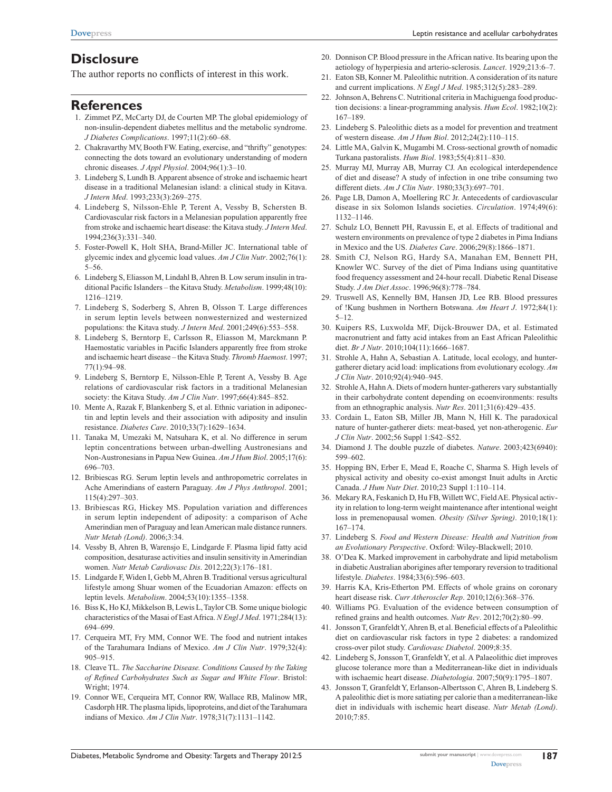#### **Disclosure**

The author reports no conflicts of interest in this work.

#### **References**

- 1. Zimmet PZ, McCarty DJ, de Courten MP. The global epidemiology of non-insulin-dependent diabetes mellitus and the metabolic syndrome. *J Diabetes Complications*. 1997;11(2):60–68.
- 2. Chakravarthy MV, Booth FW. Eating, exercise, and "thrifty" genotypes: connecting the dots toward an evolutionary understanding of modern chronic diseases. *J Appl Physiol*. 2004;96(1):3–10.
- 3. Lindeberg S, Lundh B. Apparent absence of stroke and ischaemic heart disease in a traditional Melanesian island: a clinical study in Kitava. *J Intern Med*. 1993;233(3):269–275.
- 4. Lindeberg S, Nilsson-Ehle P, Terent A, Vessby B, Schersten B. Cardiovascular risk factors in a Melanesian population apparently free from stroke and ischaemic heart disease: the Kitava study. *J Intern Med*. 1994;236(3):331–340.
- 5. Foster-Powell K, Holt SHA, Brand-Miller JC. International table of glycemic index and glycemic load values. *Am J Clin Nutr*. 2002;76(1): 5–56.
- 6. Lindeberg S, Eliasson M, Lindahl B, Ahren B. Low serum insulin in traditional Pacific Islanders – the Kitava Study. *Metabolism*. 1999;48(10): 1216–1219.
- 7. Lindeberg S, Soderberg S, Ahren B, Olsson T. Large differences in serum leptin levels between nonwesternized and westernized populations: the Kitava study. *J Intern Med*. 2001;249(6):553–558.
- 8. Lindeberg S, Berntorp E, Carlsson R, Eliasson M, Marckmann P. Haemostatic variables in Pacific Islanders apparently free from stroke and ischaemic heart disease – the Kitava Study. *Thromb Haemost*. 1997; 77(1):94–98.
- 9. Lindeberg S, Berntorp E, Nilsson-Ehle P, Terent A, Vessby B. Age relations of cardiovascular risk factors in a traditional Melanesian society: the Kitava Study. *Am J Clin Nutr*. 1997;66(4):845–852.
- 10. Mente A, Razak F, Blankenberg S, et al. Ethnic variation in adiponectin and leptin levels and their association with adiposity and insulin resistance. *Diabetes Care*. 2010;33(7):1629–1634.
- 11. Tanaka M, Umezaki M, Natsuhara K, et al. No difference in serum leptin concentrations between urban-dwelling Austronesians and Non-Austronesians in Papua New Guinea. *Am J Hum Biol*. 2005;17(6): 696–703.
- 12. Bribiescas RG. Serum leptin levels and anthropometric correlates in Ache Amerindians of eastern Paraguay. *Am J Phys Anthropol*. 2001; 115(4):297–303.
- 13. Bribiescas RG, Hickey MS. Population variation and differences in serum leptin independent of adiposity: a comparison of Ache Amerindian men of Paraguay and lean American male distance runners. *Nutr Metab (Lond)*. 2006;3:34.
- 14. Vessby B, Ahren B, Warensjo E, Lindgarde F. Plasma lipid fatty acid composition, desaturase activities and insulin sensitivity in Amerindian women. *Nutr Metab Cardiovasc Dis*. 2012;22(3):176–181.
- 15. Lindgarde F, Widen I, Gebb M, Ahren B. Traditional versus agricultural lifestyle among Shuar women of the Ecuadorian Amazon: effects on leptin levels. *Metabolism*. 2004;53(10):1355–1358.
- 16. Biss K, Ho KJ, Mikkelson B, Lewis L, Taylor CB. Some unique biologic characteristics of the Masai of East Africa. *N Engl J Med*. 1971;284(13): 694–699.
- 17. Cerqueira MT, Fry MM, Connor WE. The food and nutrient intakes of the Tarahumara Indians of Mexico. *Am J Clin Nutr*. 1979;32(4): 905–915.
- 18. Cleave TL. *The Saccharine Disease. Conditions Caused by the Taking of Refined Carbohydrates Such as Sugar and White Flour*. Bristol: Wright; 1974.
- 19. Connor WE, Cerqueira MT, Connor RW, Wallace RB, Malinow MR, Casdorph HR. The plasma lipids, lipoproteins, and diet of the Tarahumara indians of Mexico. *Am J Clin Nutr*. 1978;31(7):1131–1142.
- 20. Donnison CP. Blood pressure in the African native. Its bearing upon the aetiology of hyperpiesia and arterio-sclerosis. *Lancet*. 1929;213:6–7.
- 21. Eaton SB, Konner M. Paleolithic nutrition. A consideration of its nature and current implications. *N Engl J Med*. 1985;312(5):283–289.
- 22. Johnson A, Behrens C. Nutritional criteria in Machiguenga food production decisions: a linear-programming analysis. *Hum Ecol*. 1982;10(2): 167–189.
- 23. Lindeberg S. Paleolithic diets as a model for prevention and treatment of western disease. *Am J Hum Biol*. 2012;24(2):110–115.
- 24. Little MA, Galvin K, Mugambi M. Cross-sectional growth of nomadic Turkana pastoralists. *Hum Biol*. 1983;55(4):811–830.
- 25. Murray MJ, Murray AB, Murray CJ. An ecological interdependence of diet and disease? A study of infection in one tribe consuming two different diets. *Am J Clin Nutr*. 1980;33(3):697–701.
- 26. Page LB, Damon A, Moellering RC Jr. Antecedents of cardiovascular disease in six Solomon Islands societies. *Circulation*. 1974;49(6): 1132–1146.
- 27. Schulz LO, Bennett PH, Ravussin E, et al. Effects of traditional and western environments on prevalence of type 2 diabetes in Pima Indians in Mexico and the US. *Diabetes Care*. 2006;29(8):1866–1871.
- 28. Smith CJ, Nelson RG, Hardy SA, Manahan EM, Bennett PH, Knowler WC. Survey of the diet of Pima Indians using quantitative food frequency assessment and 24-hour recall. Diabetic Renal Disease Study. *J Am Diet Assoc*. 1996;96(8):778–784.
- 29. Truswell AS, Kennelly BM, Hansen JD, Lee RB. Blood pressures of !Kung bushmen in Northern Botswana. *Am Heart J*. 1972;84(1): 5–12.
- 30. Kuipers RS, Luxwolda MF, Dijck-Brouwer DA, et al. Estimated macronutrient and fatty acid intakes from an East African Paleolithic diet. *Br J Nutr*. 2010;104(11):1666–1687.
- 31. Strohle A, Hahn A, Sebastian A. Latitude, local ecology, and huntergatherer dietary acid load: implications from evolutionary ecology. *Am J Clin Nutr*. 2010;92(4):940–945.
- 32. Strohle A, Hahn A. Diets of modern hunter-gatherers vary substantially in their carbohydrate content depending on ecoenvironments: results from an ethnographic analysis. *Nutr Res*. 2011;31(6):429–435.
- 33. Cordain L, Eaton SB, Miller JB, Mann N, Hill K. The paradoxical nature of hunter-gatherer diets: meat-based, yet non-atherogenic. *Eur J Clin Nutr*. 2002;56 Suppl 1:S42–S52.
- 34. Diamond J. The double puzzle of diabetes. *Nature*. 2003;423(6940): 599–602.
- 35. Hopping BN, Erber E, Mead E, Roache C, Sharma S. High levels of physical activity and obesity co-exist amongst Inuit adults in Arctic Canada. *J Hum Nutr Diet*. 2010;23 Suppl 1:110–114.
- 36. Mekary RA, Feskanich D, Hu FB, Willett WC, Field AE. Physical activity in relation to long-term weight maintenance after intentional weight loss in premenopausal women. *Obesity (Silver Spring)*. 2010;18(1): 167–174.
- 37. Lindeberg S. *Food and Western Disease: Health and Nutrition from an Evolutionary Perspective*. Oxford: Wiley-Blackwell; 2010.
- 38. O'Dea K. Marked improvement in carbohydrate and lipid metabolism in diabetic Australian aborigines after temporary reversion to traditional lifestyle. *Diabetes*. 1984;33(6):596–603.
- 39. Harris KA, Kris-Etherton PM. Effects of whole grains on coronary heart disease risk. *Curr Atheroscler Rep*. 2010;12(6):368–376.
- 40. Williams PG. Evaluation of the evidence between consumption of refined grains and health outcomes. *Nutr Rev*. 2012;70(2):80–99.
- 41. Jonsson T, Granfeldt Y, Ahren B, et al. Beneficial effects of a Paleolithic diet on cardiovascular risk factors in type 2 diabetes: a randomized cross-over pilot study. *Cardiovasc Diabetol*. 2009;8:35.
- 42. Lindeberg S, Jonsson T, Granfeldt Y, et al. A Palaeolithic diet improves glucose tolerance more than a Mediterranean-like diet in individuals with ischaemic heart disease. *Diabetologia*. 2007;50(9):1795–1807.
- 43. Jonsson T, Granfeldt Y, Erlanson-Albertsson C, Ahren B, Lindeberg S. A paleolithic diet is more satiating per calorie than a mediterranean-like diet in individuals with ischemic heart disease. *Nutr Metab (Lond)*. 2010;7:85.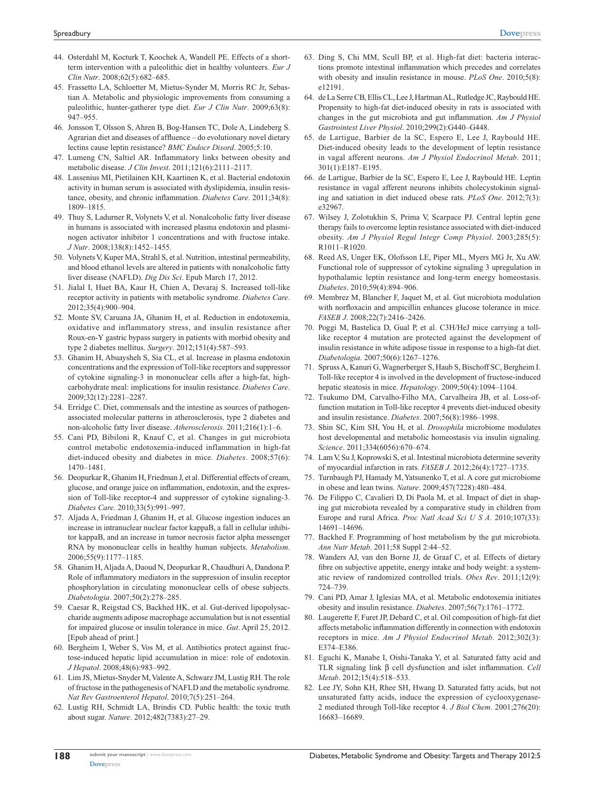- 44. Osterdahl M, Kocturk T, Koochek A, Wandell PE. Effects of a shortterm intervention with a paleolithic diet in healthy volunteers. *Eur J Clin Nutr*. 2008;62(5):682–685.
- 45. Frassetto LA, Schloetter M, Mietus-Synder M, Morris RC Jr, Sebastian A. Metabolic and physiologic improvements from consuming a paleolithic, hunter-gatherer type diet. *Eur J Clin Nutr*. 2009;63(8): 947–955.
- 46. Jonsson T, Olsson S, Ahren B, Bog-Hansen TC, Dole A, Lindeberg S. Agrarian diet and diseases of affluence – do evolutionary novel dietary lectins cause leptin resistance? *BMC Endocr Disord*. 2005;5:10.
- 47. Lumeng CN, Saltiel AR. Inflammatory links between obesity and metabolic disease. *J Clin Invest*. 2011;121(6):2111–2117.
- 48. Lassenius MI, Pietilainen KH, Kaartinen K, et al. Bacterial endotoxin activity in human serum is associated with dyslipidemia, insulin resistance, obesity, and chronic inflammation. *Diabetes Care*. 2011;34(8): 1809–1815.
- 49. Thuy S, Ladurner R, Volynets V, et al. Nonalcoholic fatty liver disease in humans is associated with increased plasma endotoxin and plasminogen activator inhibitor 1 concentrations and with fructose intake. *J Nutr*. 2008;138(8):1452–1455.
- 50. Volynets V, Kuper MA, Strahl S, et al. Nutrition, intestinal permeability, and blood ethanol levels are altered in patients with nonalcoholic fatty liver disease (NAFLD). *Dig Dis Sci*. Epub March 17, 2012.
- 51. Jialal I, Huet BA, Kaur H, Chien A, Devaraj S. Increased toll-like receptor activity in patients with metabolic syndrome. *Diabetes Care*. 2012;35(4):900–904.
- 52. Monte SV, Caruana JA, Ghanim H, et al. Reduction in endotoxemia, oxidative and inflammatory stress, and insulin resistance after Roux-en-Y gastric bypass surgery in patients with morbid obesity and type 2 diabetes mellitus. *Surgery*. 2012;151(4):587–593.
- 53. Ghanim H, Abuaysheh S, Sia CL, et al. Increase in plasma endotoxin concentrations and the expression of Toll-like receptors and suppressor of cytokine signaling-3 in mononuclear cells after a high-fat, highcarbohydrate meal: implications for insulin resistance. *Diabetes Care*. 2009;32(12):2281–2287.
- 54. Erridge C. Diet, commensals and the intestine as sources of pathogenassociated molecular patterns in atherosclerosis, type 2 diabetes and non-alcoholic fatty liver disease. *Atherosclerosis*. 2011;216(1):1–6.
- 55. Cani PD, Bibiloni R, Knauf C, et al. Changes in gut microbiota control metabolic endotoxemia-induced inflammation in high-fat diet-induced obesity and diabetes in mice. *Diabetes*. 2008;57(6): 1470–1481.
- 56. Deopurkar R, Ghanim H, Friedman J, et al. Differential effects of cream, glucose, and orange juice on inflammation, endotoxin, and the expression of Toll-like receptor-4 and suppressor of cytokine signaling-3. *Diabetes Care*. 2010;33(5):991–997.
- 57. Aljada A, Friedman J, Ghanim H, et al. Glucose ingestion induces an increase in intranuclear nuclear factor kappaB, a fall in cellular inhibitor kappaB, and an increase in tumor necrosis factor alpha messenger RNA by mononuclear cells in healthy human subjects. *Metabolism*. 2006;55(9):1177–1185.
- 58. Ghanim H, Aljada A, Daoud N, Deopurkar R, Chaudhuri A, Dandona P. Role of inflammatory mediators in the suppression of insulin receptor phosphorylation in circulating mononuclear cells of obese subjects. *Diabetologia*. 2007;50(2):278–285.
- 59. Caesar R, Reigstad CS, Backhed HK, et al. Gut-derived lipopolysaccharide augments adipose macrophage accumulation but is not essential for impaired glucose or insulin tolerance in mice. *Gut*. April 25, 2012. [Epub ahead of print.]
- 60. Bergheim I, Weber S, Vos M, et al. Antibiotics protect against fructose-induced hepatic lipid accumulation in mice: role of endotoxin. *J Hepatol*. 2008;48(6):983–992.
- 61. Lim JS, Mietus-Snyder M, Valente A, Schwarz JM, Lustig RH. The role of fructose in the pathogenesis of NAFLD and the metabolic syndrome. *Nat Rev Gastroenterol Hepatol*. 2010;7(5):251–264.
- 62. Lustig RH, Schmidt LA, Brindis CD. Public health: the toxic truth about sugar. *Nature*. 2012;482(7383):27–29.
- 63. Ding S, Chi MM, Scull BP, et al. High-fat diet: bacteria interactions promote intestinal inflammation which precedes and correlates with obesity and insulin resistance in mouse. *PLoS One*. 2010;5(8): e12191.
- 64. de La Serre CB, Ellis CL, Lee J, Hartman AL, Rutledge JC, Raybould HE. Propensity to high-fat diet-induced obesity in rats is associated with changes in the gut microbiota and gut inflammation. *Am J Physiol Gastrointest Liver Physiol*. 2010;299(2):G440–G448.
- 65. de Lartigue, Barbier de la SC, Espero E, Lee J, Raybould HE. Diet-induced obesity leads to the development of leptin resistance in vagal afferent neurons. *Am J Physiol Endocrinol Metab*. 2011; 301(1):E187–E195.
- 66. de Lartigue, Barbier de la SC, Espero E, Lee J, Raybould HE. Leptin resistance in vagal afferent neurons inhibits cholecystokinin signaling and satiation in diet induced obese rats. *PLoS One*. 2012;7(3): e32967.
- 67. Wilsey J, Zolotukhin S, Prima V, Scarpace PJ. Central leptin gene therapy fails to overcome leptin resistance associated with diet-induced obesity. *Am J Physiol Regul Integr Comp Physiol*. 2003;285(5): R1011–R1020.
- 68. Reed AS, Unger EK, Olofsson LE, Piper ML, Myers MG Jr, Xu AW. Functional role of suppressor of cytokine signaling 3 upregulation in hypothalamic leptin resistance and long-term energy homeostasis. *Diabetes*. 2010;59(4):894–906.
- 69. Membrez M, Blancher F, Jaquet M, et al. Gut microbiota modulation with norfloxacin and ampicillin enhances glucose tolerance in mice. *FASEB J*. 2008;22(7):2416–2426.
- 70. Poggi M, Bastelica D, Gual P, et al. C3H/HeJ mice carrying a tolllike receptor 4 mutation are protected against the development of insulin resistance in white adipose tissue in response to a high-fat diet. *Diabetologia*. 2007;50(6):1267–1276.
- 71. Spruss A, Kanuri G, Wagnerberger S, Haub S, Bischoff SC, Bergheim I. Toll-like receptor 4 is involved in the development of fructose-induced hepatic steatosis in mice. *Hepatology*. 2009;50(4):1094–1104.
- 72. Tsukumo DM, Carvalho-Filho MA, Carvalheira JB, et al. Loss-offunction mutation in Toll-like receptor 4 prevents diet-induced obesity and insulin resistance. *Diabetes*. 2007;56(8):1986–1998.
- 73. Shin SC, Kim SH, You H, et al. *Drosophila* microbiome modulates host developmental and metabolic homeostasis via insulin signaling. *Science*. 2011;334(6056):670–674.
- 74. Lam V, Su J, Koprowski S, et al. Intestinal microbiota determine severity of myocardial infarction in rats. *FASEB J*. 2012;26(4):1727–1735.
- 75. Turnbaugh PJ, Hamady M, Yatsunenko T, et al. A core gut microbiome in obese and lean twins. *Nature*. 2009;457(7228):480–484.
- 76. De Filippo C, Cavalieri D, Di Paola M, et al. Impact of diet in shaping gut microbiota revealed by a comparative study in children from Europe and rural Africa. *Proc Natl Acad Sci U S A*. 2010;107(33): 14691–14696.
- 77. Backhed F. Programming of host metabolism by the gut microbiota. *Ann Nutr Metab*. 2011;58 Suppl 2:44–52.
- 78. Wanders AJ, van den Borne JJ, de Graaf C, et al. Effects of dietary fibre on subjective appetite, energy intake and body weight: a systematic review of randomized controlled trials. *Obes Rev*. 2011;12(9): 724–739.
- 79. Cani PD, Amar J, Iglesias MA, et al. Metabolic endotoxemia initiates obesity and insulin resistance. *Diabetes*. 2007;56(7):1761–1772.
- 80. Laugerette F, Furet JP, Debard C, et al. Oil composition of high-fat diet affects metabolic inflammation differently in connection with endotoxin receptors in mice. *Am J Physiol Endocrinol Metab*. 2012;302(3): E374–E386.
- 81. Eguchi K, Manabe I, Oishi-Tanaka Y, et al. Saturated fatty acid and TLR signaling link β cell dysfunction and islet inflammation. *Cell Metab*. 2012;15(4):518–533.
- 82. Lee JY, Sohn KH, Rhee SH, Hwang D. Saturated fatty acids, but not unsaturated fatty acids, induce the expression of cyclooxygenase-2 mediated through Toll-like receptor 4. *J Biol Chem*. 2001;276(20): 16683–16689.